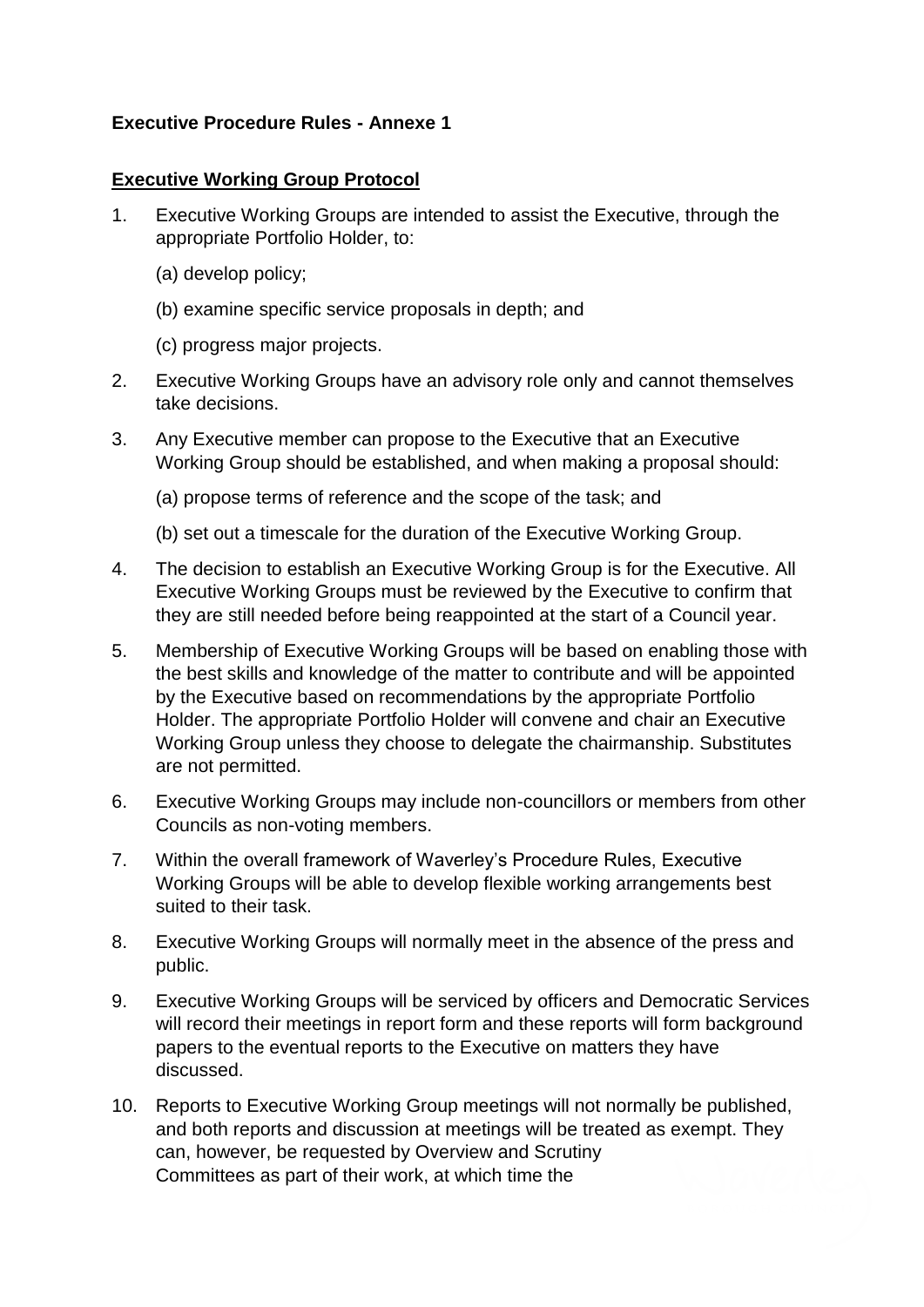## **Executive Procedure Rules - Annexe 1**

## **Executive Working Group Protocol**

- 1. Executive Working Groups are intended to assist the Executive, through the appropriate Portfolio Holder, to:
	- (a) develop policy;
	- (b) examine specific service proposals in depth; and
	- (c) progress major projects.
- 2. Executive Working Groups have an advisory role only and cannot themselves take decisions.
- 3. Any Executive member can propose to the Executive that an Executive Working Group should be established, and when making a proposal should:
	- (a) propose terms of reference and the scope of the task; and
	- (b) set out a timescale for the duration of the Executive Working Group.
- 4. The decision to establish an Executive Working Group is for the Executive. All Executive Working Groups must be reviewed by the Executive to confirm that they are still needed before being reappointed at the start of a Council year.
- 5. Membership of Executive Working Groups will be based on enabling those with the best skills and knowledge of the matter to contribute and will be appointed by the Executive based on recommendations by the appropriate Portfolio Holder. The appropriate Portfolio Holder will convene and chair an Executive Working Group unless they choose to delegate the chairmanship. Substitutes are not permitted.
- 6. Executive Working Groups may include non-councillors or members from other Councils as non-voting members.
- 7. Within the overall framework of Waverley's Procedure Rules, Executive Working Groups will be able to develop flexible working arrangements best suited to their task.
- 8. Executive Working Groups will normally meet in the absence of the press and public.
- 9. Executive Working Groups will be serviced by officers and Democratic Services will record their meetings in report form and these reports will form background papers to the eventual reports to the Executive on matters they have discussed.
- 10. Reports to Executive Working Group meetings will not normally be published, and both reports and discussion at meetings will be treated as exempt. They can, however, be requested by Overview and Scrutiny Committees as part of their work, at which time the